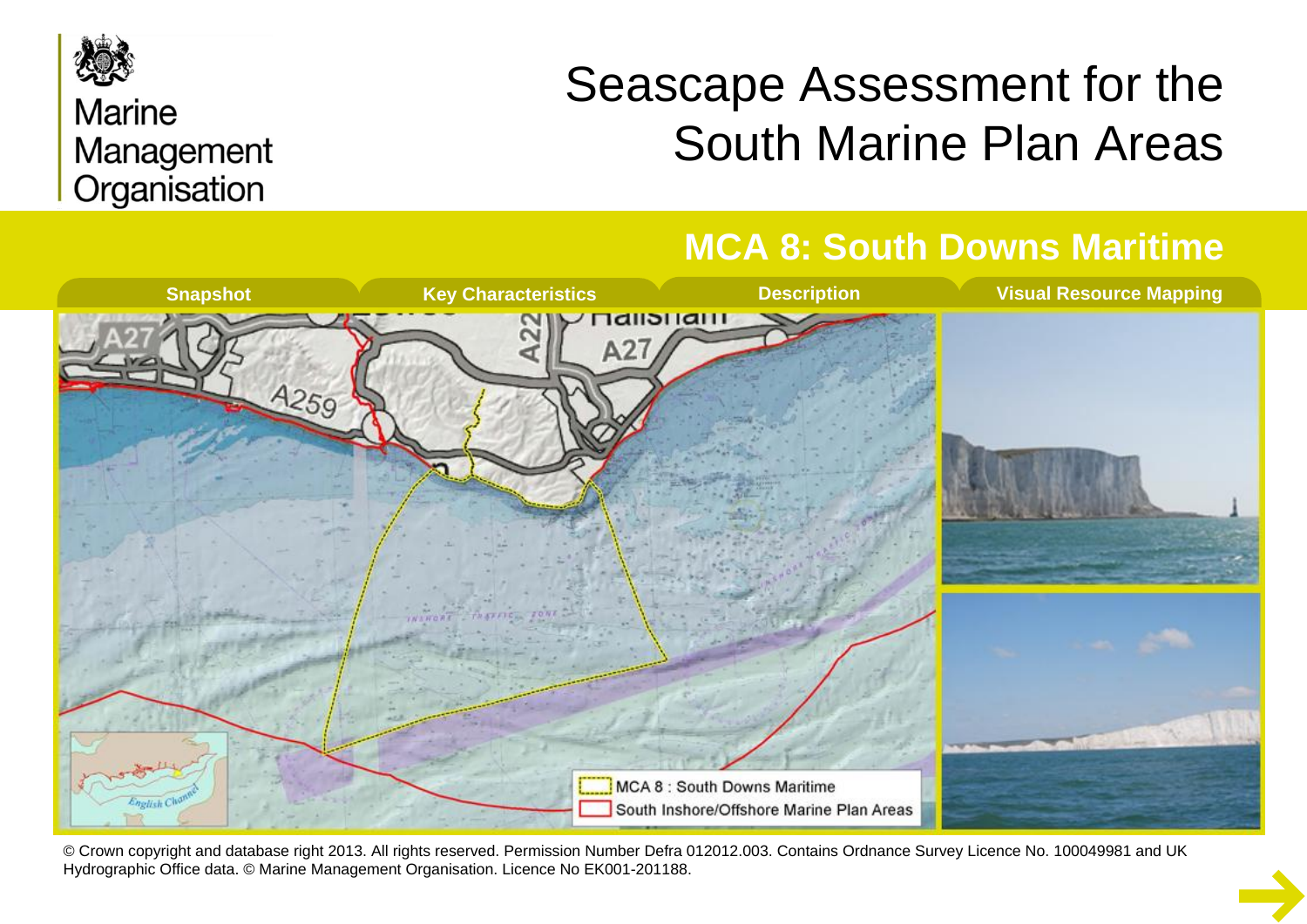

## **Marine** Management Organisation

# Seascape Assessment for the South Marine Plan Areas

## **MCA 8: South Downs Maritime**



© Crown copyright and database right 2013. All rights reserved. Permission Number Defra 012012.003. Contains Ordnance Survey Licence No. 100049981 and UK Hydrographic Office data. © Marine Management Organisation. Licence No EK001-201188.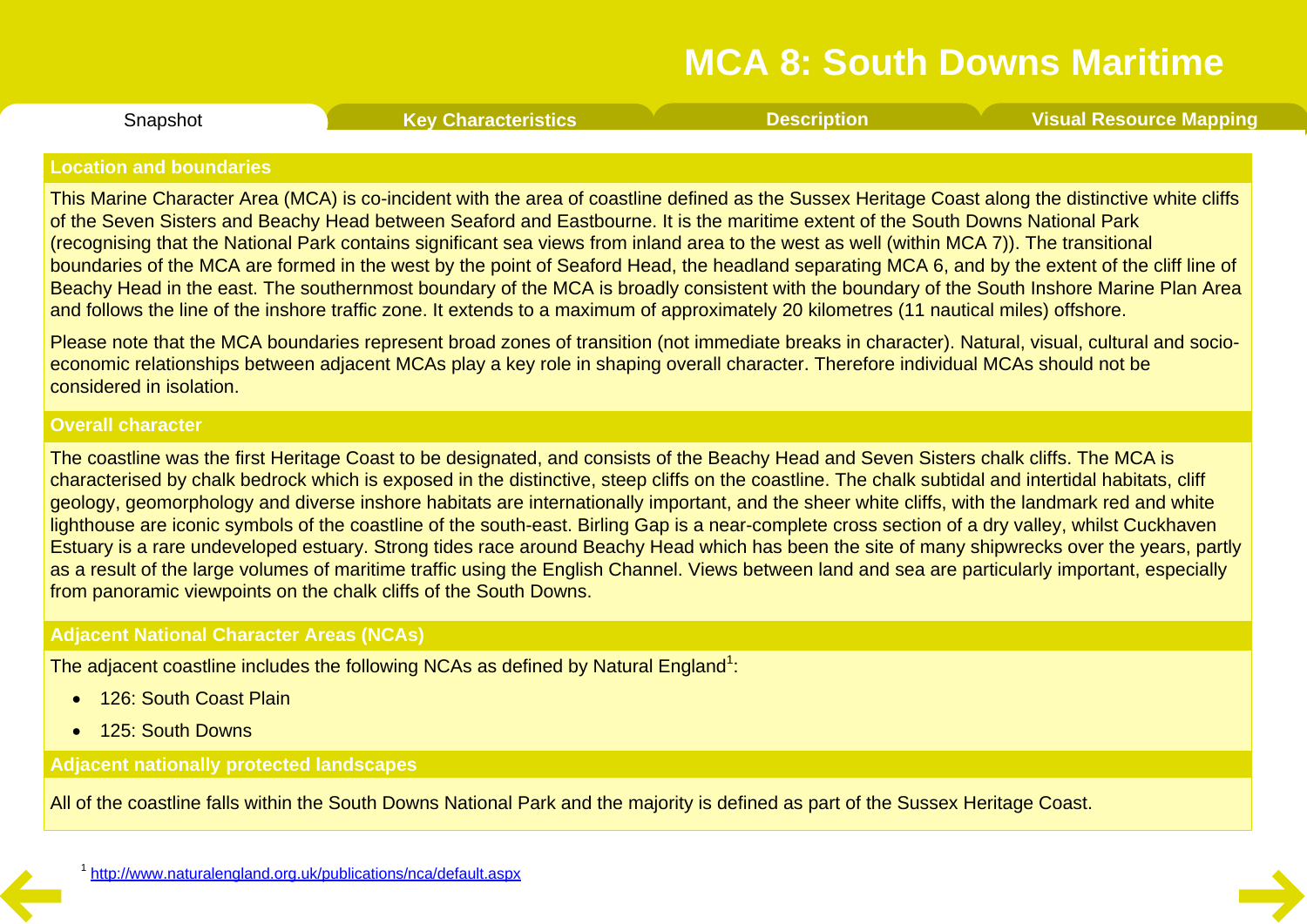Snapshot **Key [Characteristics](#page-2-0) [Description](#page-3-0) Visual [Resource](#page-8-0) Mapping**

#### <span id="page-1-0"></span>**Location and boundaries**

This Marine Character Area (MCA) is co-incident with the area of coastline defined as the Sussex Heritage Coast along the distinctive white cliffs of the Seven Sisters and Beachy Head between Seaford and Eastbourne. It is the maritime extent of the South Downs National Park (recognising that the National Park contains significant sea views from inland area to the west as well (within MCA 7)). The transitional boundaries of the MCA are formed in the west by the point of Seaford Head, the headland separating MCA 6, and by the extent of the cliff line of Beachy Head in the east. The southernmost boundary of the MCA is broadly consistent with the boundary of the South Inshore Marine Plan Area and follows the line of the inshore traffic zone. It extends to a maximum of approximately 20 kilometres (11 nautical miles) offshore.

Please note that the MCA boundaries represent broad zones of transition (not immediate breaks in character). Natural, visual, cultural and socio economic relationships between adjacent MCAs play a key role in shaping overall character. Therefore individual MCAs should not be considered in isolation.

#### **Overall character**

The coastline was the first Heritage Coast to be designated, and consists of the Beachy Head and Seven Sisters chalk cliffs. The MCA is characterised by chalk bedrock which is exposed in the distinctive, steep cliffs on the coastline. The chalk subtidal and intertidal habitats, cliff geology, geomorphology and diverse inshore habitats are internationally important, and the sheer white cliffs, with the landmark red and white lighthouse are iconic symbols of the coastline of the south-east. Birling Gap is a near-complete cross section of a dry valley, whilst Cuckhaven Estuary is a rare undeveloped estuary. Strong tides race around Beachy Head which has been the site of many shipwrecks over the years, partly as a result of the large volumes of maritime traffic using the English Channel. Views between land and sea are particularly important, especially from panoramic viewpoints on the chalk cliffs of the South Downs.

#### **Adjacent National Character Areas (NCAs)**

The adjacent coastline includes the following NCAs as defined by Natural England $^1$ :

- **126: South Coast Plain**
- 125: South Downs

#### **Adjacent nationally protected landscapes**

All of the coastline falls within the South Downs National Park and the majority is defined as part of the Sussex Heritage Coast.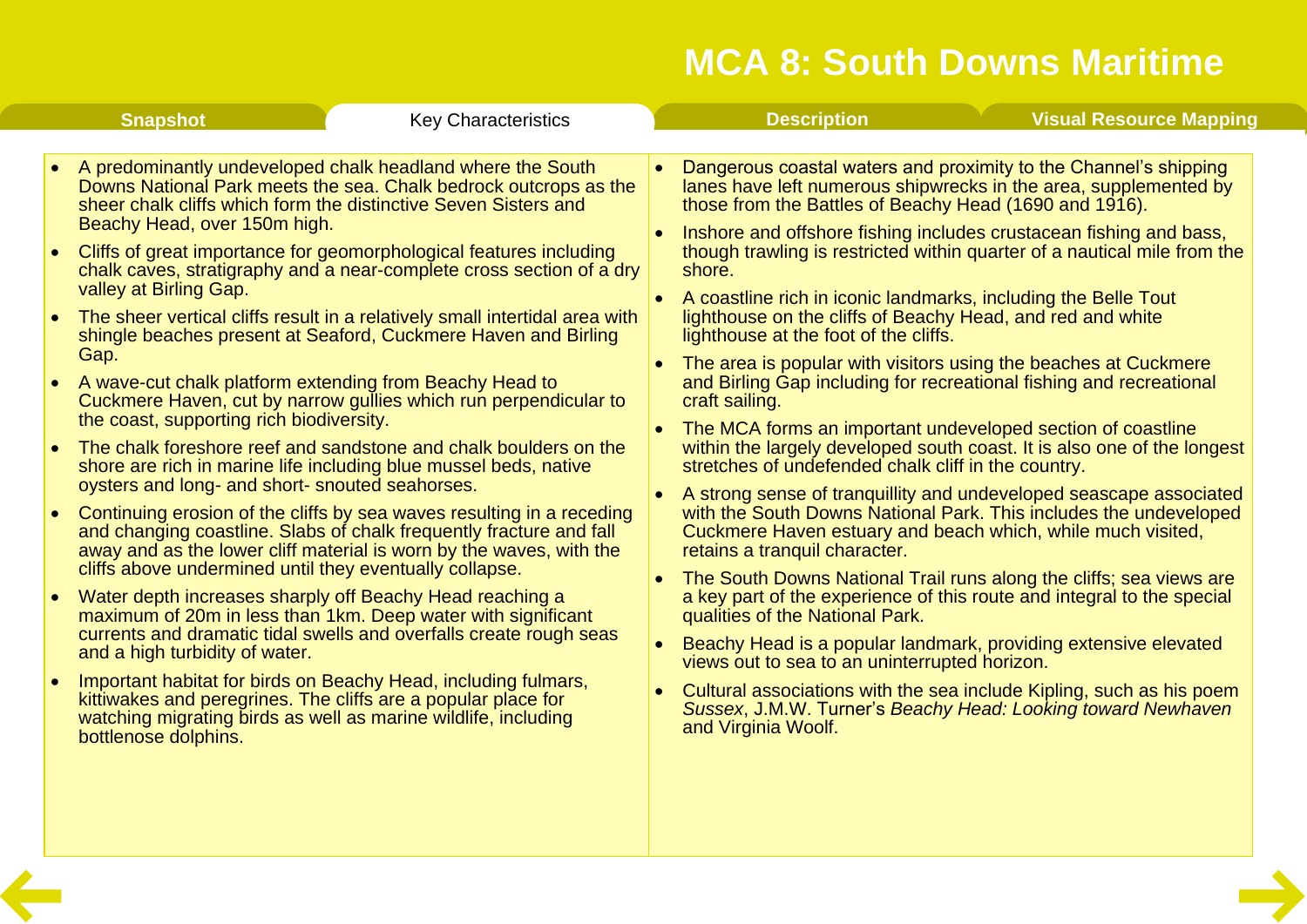<span id="page-2-0"></span>

|                                     | <b>Snapshot</b>                                                                                                                                                                                                                                                                                                                               | <b>Key Characteristics</b>                                                                                                                                                                                                                                                                                                                                                                                                                                                                                                                                                                                                                                                                                                                                                                                                                                                                                                                                                                                                                                                                                                                                                                                                                                                                                                                 |           | <b>Description</b>                                                                                                                                                                                                                                                                                                                                                                                                                                                                                                                                                                                                                                                                                                                                                                                                                                                                                                                                                                                                                                                                                                                                                                                                                                                                                                                                                                                                                                                                                                                                                                                                   | <b>Visual Resource Mapping</b> |
|-------------------------------------|-----------------------------------------------------------------------------------------------------------------------------------------------------------------------------------------------------------------------------------------------------------------------------------------------------------------------------------------------|--------------------------------------------------------------------------------------------------------------------------------------------------------------------------------------------------------------------------------------------------------------------------------------------------------------------------------------------------------------------------------------------------------------------------------------------------------------------------------------------------------------------------------------------------------------------------------------------------------------------------------------------------------------------------------------------------------------------------------------------------------------------------------------------------------------------------------------------------------------------------------------------------------------------------------------------------------------------------------------------------------------------------------------------------------------------------------------------------------------------------------------------------------------------------------------------------------------------------------------------------------------------------------------------------------------------------------------------|-----------|----------------------------------------------------------------------------------------------------------------------------------------------------------------------------------------------------------------------------------------------------------------------------------------------------------------------------------------------------------------------------------------------------------------------------------------------------------------------------------------------------------------------------------------------------------------------------------------------------------------------------------------------------------------------------------------------------------------------------------------------------------------------------------------------------------------------------------------------------------------------------------------------------------------------------------------------------------------------------------------------------------------------------------------------------------------------------------------------------------------------------------------------------------------------------------------------------------------------------------------------------------------------------------------------------------------------------------------------------------------------------------------------------------------------------------------------------------------------------------------------------------------------------------------------------------------------------------------------------------------------|--------------------------------|
| $\bullet$<br>$\bullet$<br>$\bullet$ | Beachy Head, over 150m high.<br>valley at Birling Gap.<br>Gap.<br>A wave-cut chalk platform extending from Beachy Head to<br>the coast, supporting rich biodiversity.<br>oysters and long- and short- snouted seahorses.<br>cliffs above undermined until they eventually collapse.<br>and a high turbidity of water.<br>bottlenose dolphins. | A predominantly undeveloped chalk headland where the South<br>Downs National Park meets the sea. Chalk bedrock outcrops as the<br>sheer chalk cliffs which form the distinctive Seven Sisters and<br>Cliffs of great importance for geomorphological features including<br>chalk caves, stratigraphy and a near-complete cross section of a dry<br>The sheer vertical cliffs result in a relatively small intertidal area with<br>shingle beaches present at Seaford, Cuckmere Haven and Birling<br>Cuckmere Haven, cut by narrow gullies which run perpendicular to<br>The chalk foreshore reef and sandstone and chalk boulders on the<br>shore are rich in marine life including blue mussel beds, native<br>Continuing erosion of the cliffs by sea waves resulting in a receding<br>and changing coastline. Slabs of chalk frequently fracture and fall<br>away and as the lower cliff material is worn by the waves, with the<br>Water depth increases sharply off Beachy Head reaching a<br>maximum of 20m in less than 1km. Deep water with significant<br>currents and dramatic tidal swells and overfalls create rough seas<br>Important habitat for birds on Beachy Head, including fulmars,<br>kittiwakes and peregrines. The cliffs are a popular place for<br>watching migrating birds as well as marine wildlife, including | $\bullet$ | Dangerous coastal waters and proximity to the Channel's shipping<br>lanes have left numerous shipwrecks in the area, supplemented by<br>those from the Battles of Beachy Head (1690 and 1916).<br>Inshore and offshore fishing includes crustacean fishing and bass,<br>though trawling is restricted within quarter of a nautical mile from the<br>shore.<br>• A coastline rich in iconic landmarks, including the Belle Tout<br>lighthouse on the cliffs of Beachy Head, and red and white<br>lighthouse at the foot of the cliffs.<br>The area is popular with visitors using the beaches at Cuckmere<br>and Birling Gap including for recreational fishing and recreational<br>craft sailing.<br>The MCA forms an important undeveloped section of coastline<br>within the largely developed south coast. It is also one of the longest<br>stretches of undefended chalk cliff in the country.<br>A strong sense of tranquillity and undeveloped seascape associated<br>with the South Downs National Park. This includes the undeveloped<br>Cuckmere Haven estuary and beach which, while much visited,<br>retains a tranquil character.<br>The South Downs National Trail runs along the cliffs; sea views are<br>a key part of the experience of this route and integral to the special<br>qualities of the National Park.<br>Beachy Head is a popular landmark, providing extensive elevated<br>views out to sea to an uninterrupted horizon.<br>Cultural associations with the sea include Kipling, such as his poem<br>Sussex, J.M.W. Turner's Beachy Head: Looking toward Newhaven<br>and Virginia Woolf. |                                |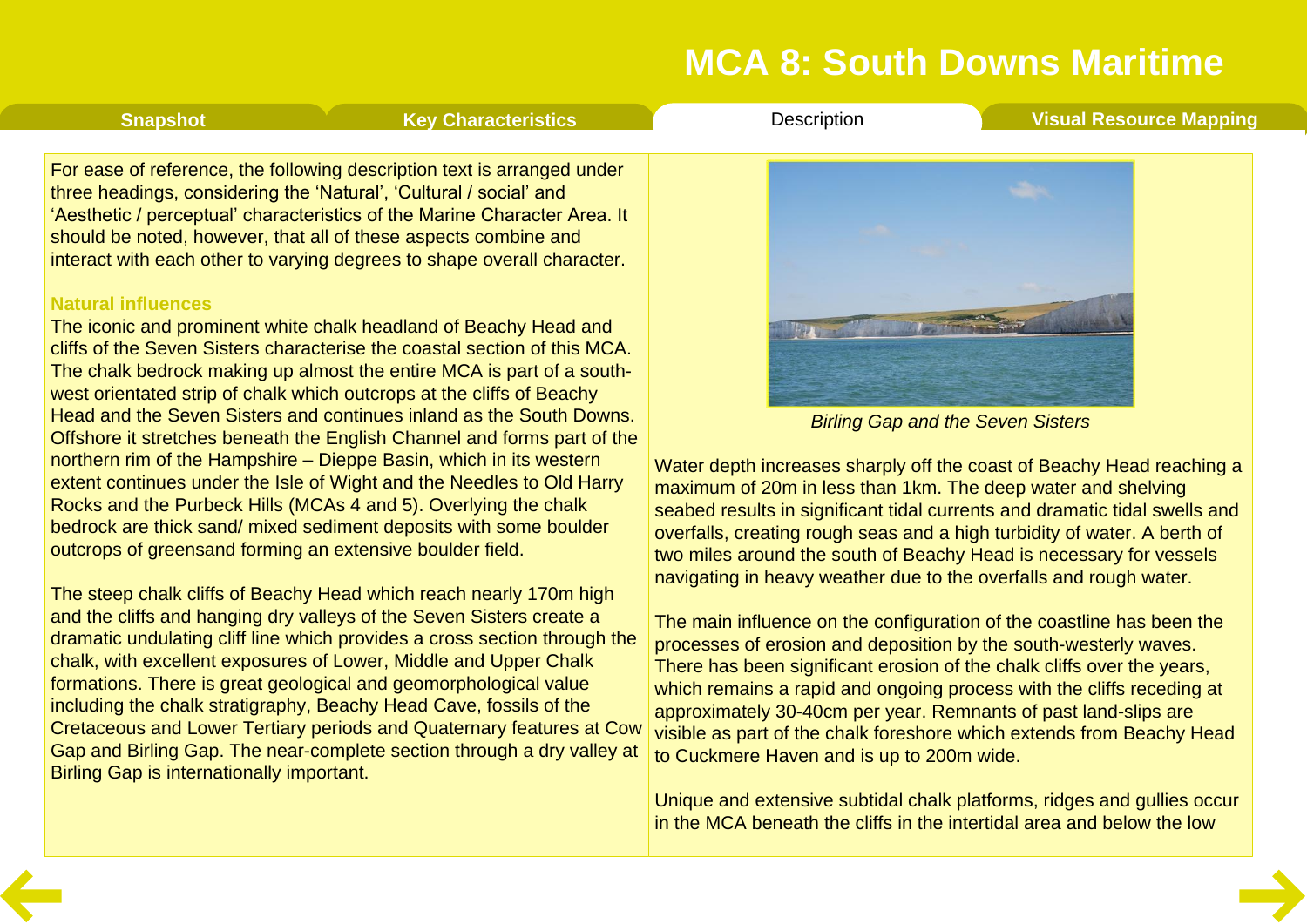<span id="page-3-0"></span>**[Snapshot](#page-1-0) Key [Characteristics](#page-2-0) [Description](#page-3-0) Visual [Resource](#page-8-0) Mapping** 

For ease of reference, the following description text is arranged under three headings, considering the 'Natural', 'Cultural / social' and 'Aesthetic / perceptual' characteristics of the Marine Character Area. It should be noted, however, that all of these aspects combine and interact with each other to varying degrees to shape overall character.

#### **Natural influences**

The iconic and prominent white chalk headland of Beachy Head and cliffs of the Seven Sisters characterise the coastal section of this MCA. The chalk bedrock making up almost the entire MCA is part of a south west orientated strip of chalk which outcrops at the cliffs of Beachy Head and the Seven Sisters and continues inland as the South Downs. Offshore it stretches beneath the English Channel and forms part of the northern rim of the Hampshire – Dieppe Basin, which in its western extent continues under the Isle of Wight and the Needles to Old Harry Rocks and the Purbeck Hills (MCAs 4 and 5). Overlying the chalk bedrock are thick sand/ mixed sediment deposits with some boulder outcrops of greensand forming an extensive boulder field.

The steep chalk cliffs of Beachy Head which reach nearly 170m high and the cliffs and hanging dry valleys of the Seven Sisters create a dramatic undulating cliff line which provides a cross section through the chalk, with excellent exposures of Lower, Middle and Upper Chalk formations. There is great geological and geomorphological value including the chalk stratigraphy, Beachy Head Cave, fossils of the Cretaceous and Lower Tertiary periods and Quaternary features at Cow Gap and Birling Gap. The near-complete section through a dry valley at Birling Gap is internationally important.



*Birling Gap and the Seven Sisters*

Water depth increases sharply off the coast of Beachy Head reaching a maximum of 20m in less than 1km. The deep water and shelving seabed results in significant tidal currents and dramatic tidal swells and overfalls, creating rough seas and a high turbidity of water. A berth of two miles around the south of Beachy Head is necessary for vessels navigating in heavy weather due to the overfalls and rough water.

The main influence on the configuration of the coastline has been the processes of erosion and deposition by the south-westerly waves. There has been significant erosion of the chalk cliffs over the years, which remains a rapid and ongoing process with the cliffs receding at approximately 30-40cm per year. Remnants of past land-slips are visible as part of the chalk foreshore which extends from Beachy Head to Cuckmere Haven and is up to 200m wide.

Unique and extensive subtidal chalk platforms, ridges and gullies occur in the MCA beneath the cliffs in the intertidal area and below the low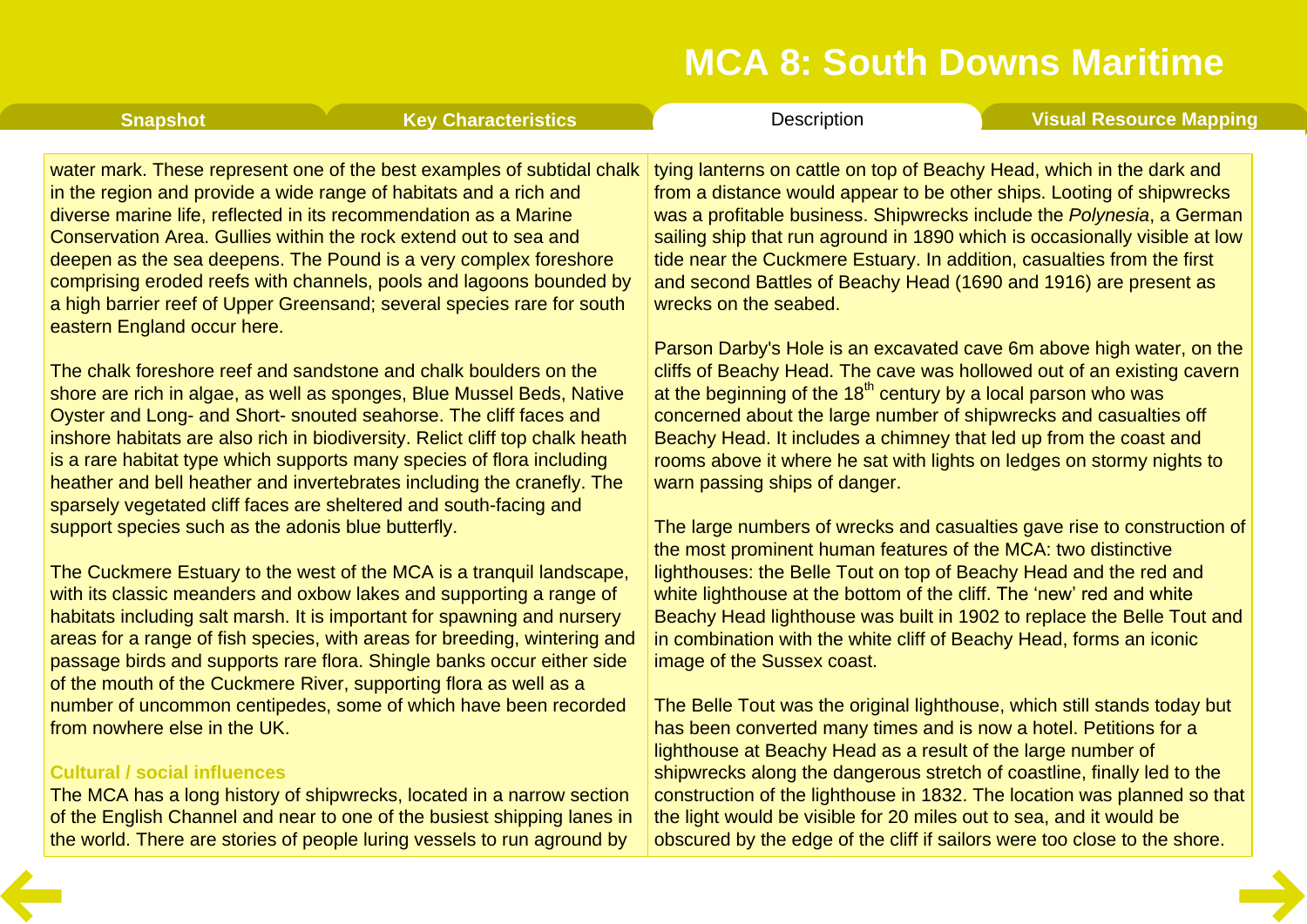| <b>Snapshot</b>                                                     | <b>Key Characteristics</b>                                                                                                                                                                                                                                                                                                                                                                                                                                                                                             | Description                                                                                                                                                                                                                                                                                                                                                                                                                                                                  | <b>Visual Resource Mapping</b> |
|---------------------------------------------------------------------|------------------------------------------------------------------------------------------------------------------------------------------------------------------------------------------------------------------------------------------------------------------------------------------------------------------------------------------------------------------------------------------------------------------------------------------------------------------------------------------------------------------------|------------------------------------------------------------------------------------------------------------------------------------------------------------------------------------------------------------------------------------------------------------------------------------------------------------------------------------------------------------------------------------------------------------------------------------------------------------------------------|--------------------------------|
| eastern England occur here.                                         | water mark. These represent one of the best examples of subtidal chalk<br>in the region and provide a wide range of habitats and a rich and<br>diverse marine life, reflected in its recommendation as a Marine<br>Conservation Area. Gullies within the rock extend out to sea and<br>deepen as the sea deepens. The Pound is a very complex foreshore<br>comprising eroded reefs with channels, pools and lagoons bounded by<br>a high barrier reef of Upper Greensand; several species rare for south               | tying lanterns on cattle on top of Beachy Head, which in the dark and<br>from a distance would appear to be other ships. Looting of shipwrecks<br>was a profitable business. Shipwrecks include the Polynesia, a German<br>sailing ship that run aground in 1890 which is occasionally visible at low<br>tide near the Cuckmere Estuary. In addition, casualties from the first<br>and second Battles of Beachy Head (1690 and 1916) are present as<br>wrecks on the seabed. |                                |
|                                                                     | The chalk foreshore reef and sandstone and chalk boulders on the<br>shore are rich in algae, as well as sponges, Blue Mussel Beds, Native<br>Oyster and Long- and Short- snouted seahorse. The cliff faces and<br>inshore habitats are also rich in biodiversity. Relict cliff top chalk heath<br>is a rare habitat type which supports many species of flora including<br>heather and bell heather and invertebrates including the cranefly. The<br>sparsely vegetated cliff faces are sheltered and south-facing and | Parson Darby's Hole is an excavated cave 6m above high water, on the<br>cliffs of Beachy Head. The cave was hollowed out of an existing cavern<br>at the beginning of the $18th$ century by a local parson who was<br>concerned about the large number of shipwrecks and casualties off<br>Beachy Head. It includes a chimney that led up from the coast and<br>rooms above it where he sat with lights on ledges on stormy nights to<br>warn passing ships of danger.       |                                |
| support species such as the adonis blue butterfly.                  | The Cuckmere Estuary to the west of the MCA is a tranquil landscape,<br>with its classic meanders and oxbow lakes and supporting a range of<br>habitats including salt marsh. It is important for spawning and nursery<br>areas for a range of fish species, with areas for breeding, wintering and<br>passage birds and supports rare flora. Shingle banks occur either side<br>of the mouth of the Cuckmere River, supporting flora as well as a                                                                     | The large numbers of wrecks and casualties gave rise to construction of<br>the most prominent human features of the MCA: two distinctive<br>lighthouses: the Belle Tout on top of Beachy Head and the red and<br>white lighthouse at the bottom of the cliff. The 'new' red and white<br>Beachy Head lighthouse was built in 1902 to replace the Belle Tout and<br>in combination with the white cliff of Beachy Head, forms an iconic<br>image of the Sussex coast.         |                                |
| from nowhere else in the UK.<br><b>Cultural / social influences</b> | number of uncommon centipedes, some of which have been recorded<br>The MCA has a long history of shipwrecks, located in a narrow section                                                                                                                                                                                                                                                                                                                                                                               | The Belle Tout was the original lighthouse, which still stands today but<br>has been converted many times and is now a hotel. Petitions for a<br>lighthouse at Beachy Head as a result of the large number of<br>shipwrecks along the dangerous stretch of coastline, finally led to the<br>construction of the lighthouse in 1832. The location was planned so that                                                                                                         |                                |

of the English Channel and near to one of the busiest shipping lanes in the world. There are stories of people luring vessels to run aground by the light would be visible for 20 miles out to sea, and it would be obscured by the edge of the cliff if sailors were too close to the shore.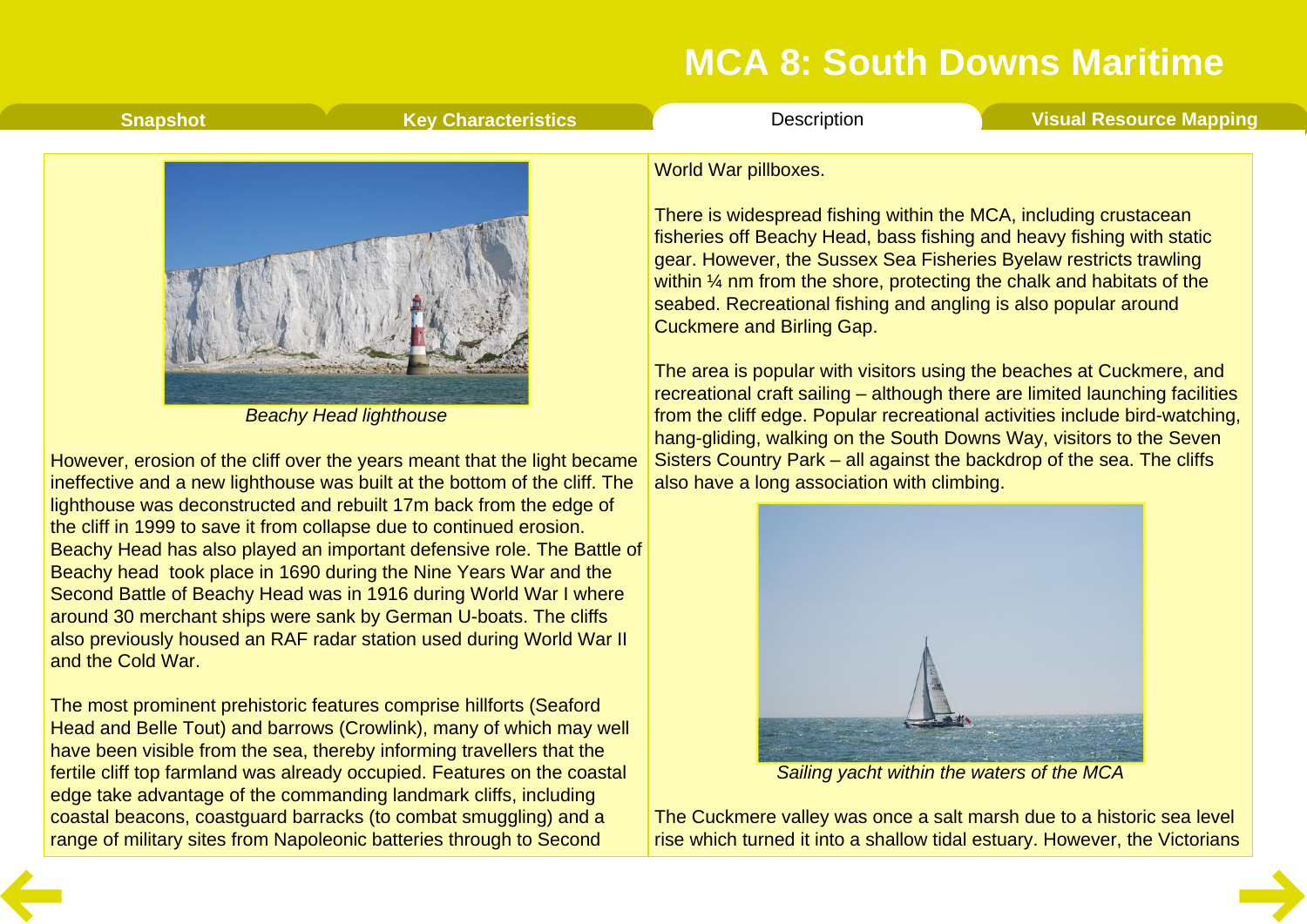| <b>Snapshot</b> | <b>Key Characteristics</b> | <b>Description</b>                                                                                                                                                                                                                                                                                                                                                                            | <b>Visual Resource Mapping</b> |
|-----------------|----------------------------|-----------------------------------------------------------------------------------------------------------------------------------------------------------------------------------------------------------------------------------------------------------------------------------------------------------------------------------------------------------------------------------------------|--------------------------------|
|                 |                            | World War pillboxes.<br>There is widespread fishing within the MCA, including crustacean<br>fisheries off Beachy Head, bass fishing and heavy fishing with static<br>gear. However, the Sussex Sea Fisheries Byelaw restricts trawling<br>within $\frac{1}{4}$ nm from the shore, protecting the chalk and habitats of the<br>seabed. Recreational fishing and angling is also popular around |                                |

Cuckmere and Birling Gap.

The area is popular with visitors using the beaches at Cuckmere, and recreational craft sailing – although there are limited launching facilities from the cliff edge. Popular recreational activities include bird-watching, hang-gliding, walking on the South Downs Way, visitors to the Seven Sisters Country Park – all against the backdrop of the sea. The cliffs also have a long association with climbing.



*Sailing yacht within the waters of the MCA*

The Cuckmere valley was once a salt marsh due to a historic sea level rise which turned it into a shallow tidal estuary. However, the Victorians



*Beachy Head lighthouse*

However, erosion of the cliff over the years meant that the light became ineffective and a new lighthouse was built at the bottom of the cliff. The lighthouse was deconstructed and rebuilt 17m back from the edge of the cliff in 1999 to save it from collapse due to continued erosion. Beachy Head has also played an important defensive role. The Battle of Beachy head took place in 1690 during the Nine Years War and the Second Battle of Beachy Head was in 1916 during World War I where around 30 merchant ships were sank by German U-boats. The cliffs also previously housed an RAF radar station used during World War II and the Cold War.

The most prominent prehistoric features comprise hillforts (Seaford Head and Belle Tout) and barrows (Crowlink), many of which may well have been visible from the sea, thereby informing travellers that the fertile cliff top farmland was already occupied. Features on the coastal edge take advantage of the commanding landmark cliffs, including coastal beacons, coastguard barracks (to combat smuggling) and a range of military sites from Napoleonic batteries through to Second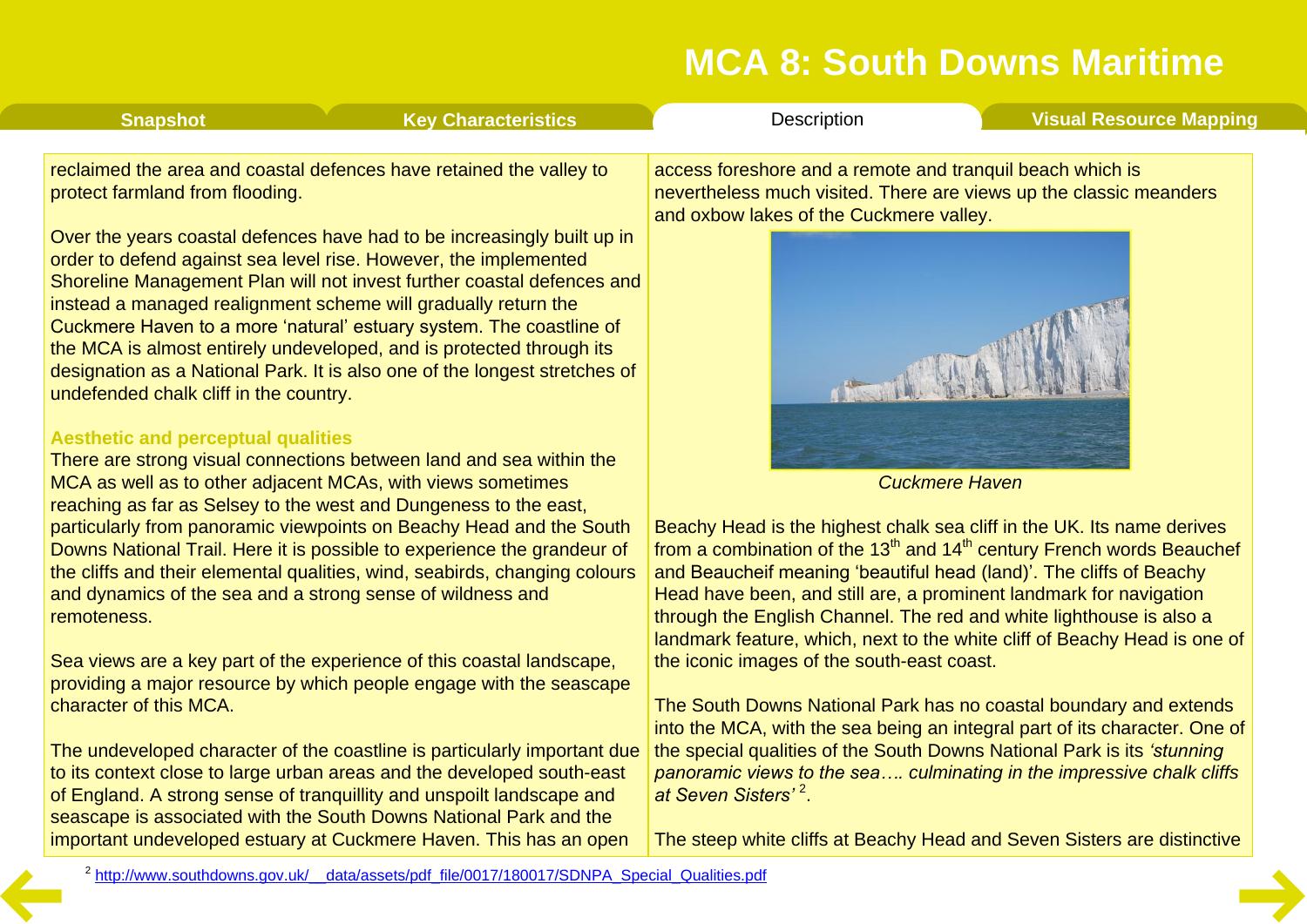| <b>Snapshot</b>                        | <b>Key Characteristics</b>                                                                                                                                                                                                                                                                                                                                                                                                                                                                                           | Description                                                                                          | <b>Visual Resource Mapping</b>                                     |
|----------------------------------------|----------------------------------------------------------------------------------------------------------------------------------------------------------------------------------------------------------------------------------------------------------------------------------------------------------------------------------------------------------------------------------------------------------------------------------------------------------------------------------------------------------------------|------------------------------------------------------------------------------------------------------|--------------------------------------------------------------------|
| protect farmland from flooding.        | reclaimed the area and coastal defences have retained the valley to                                                                                                                                                                                                                                                                                                                                                                                                                                                  | access foreshore and a remote and tranquil beach which is<br>and oxbow lakes of the Cuckmere valley. | nevertheless much visited. There are views up the classic meanders |
| undefended chalk cliff in the country. | Over the years coastal defences have had to be increasingly built up in<br>order to defend against sea level rise. However, the implemented<br>Shoreline Management Plan will not invest further coastal defences and<br>instead a managed realignment scheme will gradually return the<br>Cuckmere Haven to a more 'natural' estuary system. The coastline of<br>the MCA is almost entirely undeveloped, and is protected through its<br>designation as a National Park. It is also one of the longest stretches of |                                                                                                      |                                                                    |

#### **Aesthetic and perceptual qualities**

There are strong visual connections between land and sea within the MCA as well as to other adjacent MCAs, with views sometimes reaching as far as Selsey to the west and Dungeness to the east, particularly from panoramic viewpoints on Beachy Head and the South Downs National Trail. Here it is possible to experience the grandeur of the cliffs and their elemental qualities, wind, seabirds, changing colours and dynamics of the sea and a strong sense of wildness and remoteness.

Sea views are a key part of the experience of this coastal landscape, providing a major resource by which people engage with the seascape character of this MCA.

The undeveloped character of the coastline is particularly important due to its context close to large urban areas and the developed south-east of England. A strong sense of tranquillity and unspoilt landscape and seascape is associated with the South Downs National Park and the important undeveloped estuary at Cuckmere Haven. This has an open



*Cuckmere Haven*

Beachy Head is the highest chalk sea cliff in the UK. Its name derives from a combination of the  $13<sup>th</sup>$  and  $14<sup>th</sup>$  century French words Beauchef and Beaucheif meaning 'beautiful head (land)'. The cliffs of Beachy Head have been, and still are, a prominent landmark for navigation through the English Channel. The red and white lighthouse is also a landmark feature, which, next to the white cliff of Beachy Head is one of the iconic images of the south-east coast.

The South Downs National Park has no coastal boundary and extends into the MCA, with the sea being an integral part of its character. One of the special qualities of the South Downs National Park is its *'stunning panoramic views to the sea…. culminating in the impressive chalk cliffs at Seven Sisters'* <sup>2</sup> .

The steep white cliffs at Beachy Head and Seven Sisters are distinctive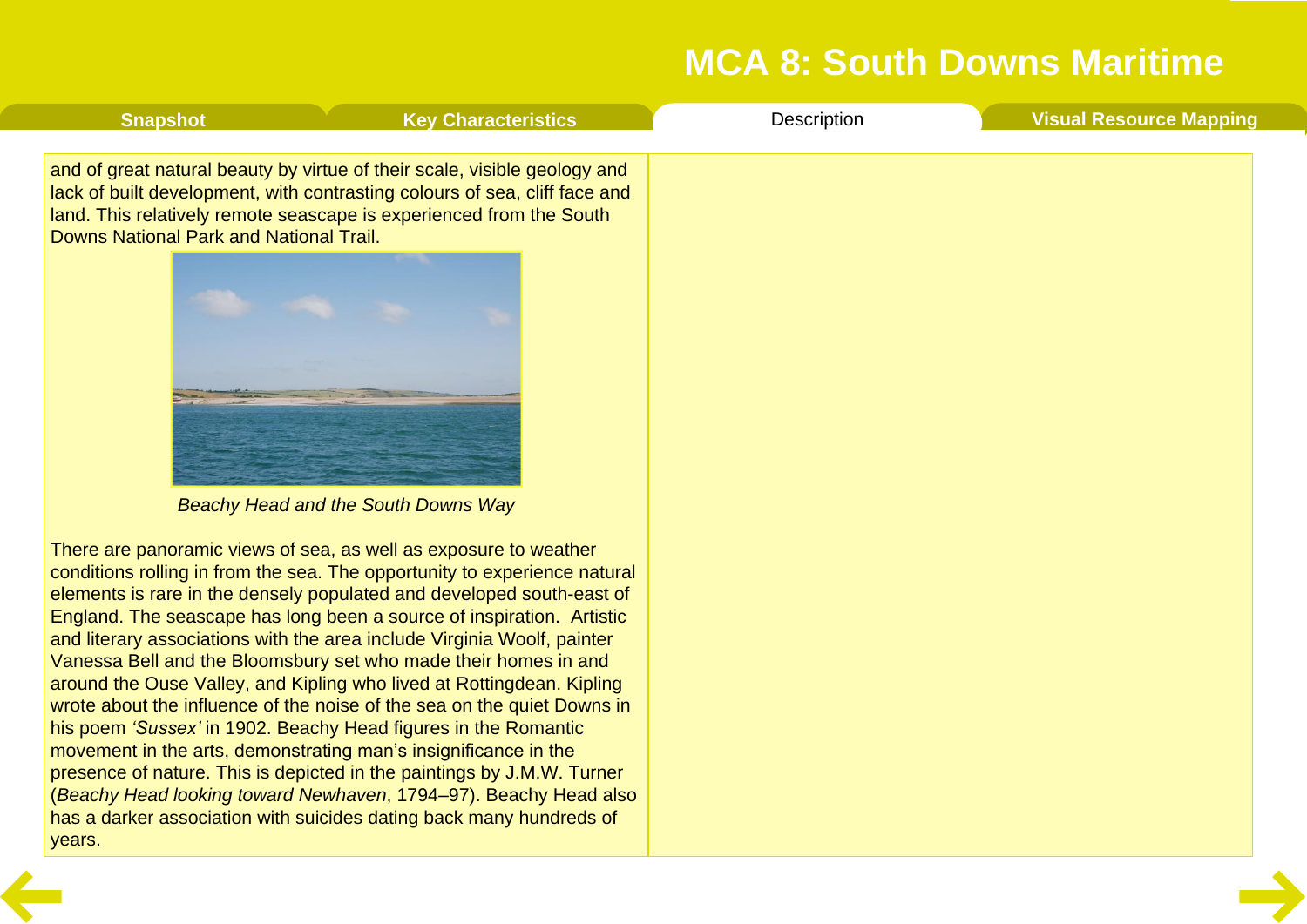<span id="page-7-0"></span>

| <b>Snapshot</b>                         | <b>Key Characteristics</b>                                                                                                                                                                                                                                                                                                                                                                                                                                                                                                                                                                                                                                                                                                                                                                                                                                                                                                                                  | Description | <b>Visual Resource Mapping</b> |
|-----------------------------------------|-------------------------------------------------------------------------------------------------------------------------------------------------------------------------------------------------------------------------------------------------------------------------------------------------------------------------------------------------------------------------------------------------------------------------------------------------------------------------------------------------------------------------------------------------------------------------------------------------------------------------------------------------------------------------------------------------------------------------------------------------------------------------------------------------------------------------------------------------------------------------------------------------------------------------------------------------------------|-------------|--------------------------------|
| Downs National Park and National Trail. | and of great natural beauty by virtue of their scale, visible geology and<br>lack of built development, with contrasting colours of sea, cliff face and<br>land. This relatively remote seascape is experienced from the South<br>Beachy Head and the South Downs Way                                                                                                                                                                                                                                                                                                                                                                                                                                                                                                                                                                                                                                                                                       |             |                                |
| years.                                  | There are panoramic views of sea, as well as exposure to weather<br>conditions rolling in from the sea. The opportunity to experience natural<br>elements is rare in the densely populated and developed south-east of<br>England. The seascape has long been a source of inspiration. Artistic<br>and literary associations with the area include Virginia Woolf, painter<br>Vanessa Bell and the Bloomsbury set who made their homes in and<br>around the Ouse Valley, and Kipling who lived at Rottingdean. Kipling<br>wrote about the influence of the noise of the sea on the quiet Downs in<br>his poem 'Sussex' in 1902. Beachy Head figures in the Romantic<br>movement in the arts, demonstrating man's insignificance in the<br>presence of nature. This is depicted in the paintings by J.M.W. Turner<br>(Beachy Head looking toward Newhaven, 1794–97). Beachy Head also<br>has a darker association with suicides dating back many hundreds of |             |                                |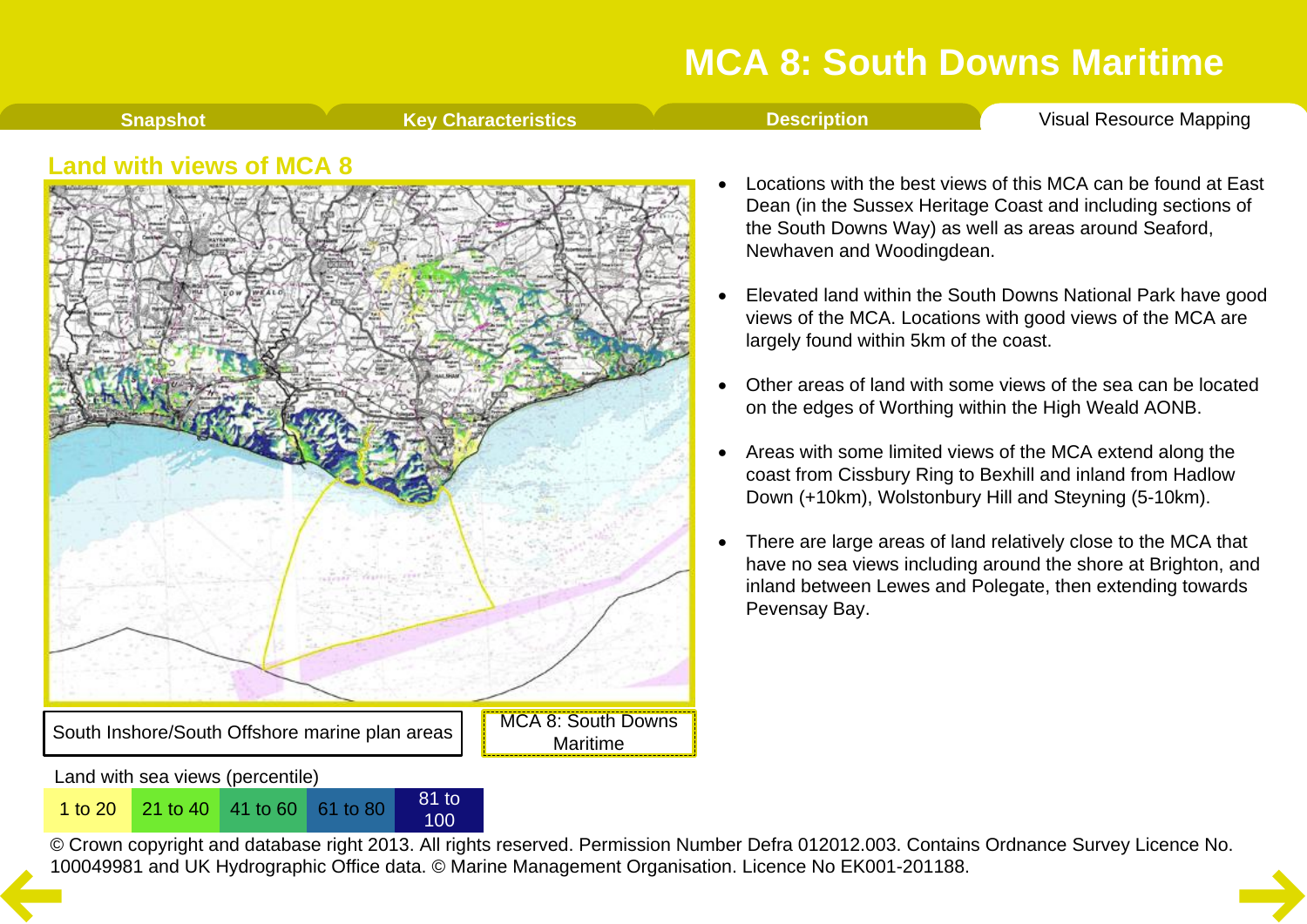**[Snapshot](#page-1-0) Key [Characteristics](#page-2-0) [Description](#page-3-0) Visual [Resource](#page-8-0) Mapping** 

#### <span id="page-8-0"></span>**Land with views of MCA 8**



100

- · Locations with the best views of this MCA can be found at East Dean (in the Sussex Heritage Coast and including sections of the South Downs Way) as well as areas around Seaford, Newhaven and Woodingdean.
- Elevated land within the South Downs National Park have good views of the MCA. Locations with good views of the MCA are largely found within 5km of the coast.
- · Other areas of land with some views of the sea can be located on the edges of Worthing within the High Weald AONB.
- Areas with some limited views of the MCA extend along the coast from Cissbury Ring to Bexhill and inland from Hadlow Down (+10km), Wolstonbury Hill and Steyning (5-10km).
- · There are large areas of land relatively close to the MCA that have no sea views including around the shore at Brighton, and inland between Lewes and Polegate, then extending towards Pevensay Bay.

© Crown copyright and database right 2013. All rights reserved. Permission Number Defra 012012.003. Contains Ordnance Survey Licence No. 1 to 20<sup>21</sup> to 40<sup>41</sup> to 60<sup>61</sup> to 80<sup>81</sup> to 80<sup>81</sup> to 80<sup>81</sup> to [10](#page-7-0)0<br>© Crown copyright and database right 2013. All rights reserved. Permission Number Defra 012012.003. Contain<br>100049981 and UK Hydrographic Office data. ©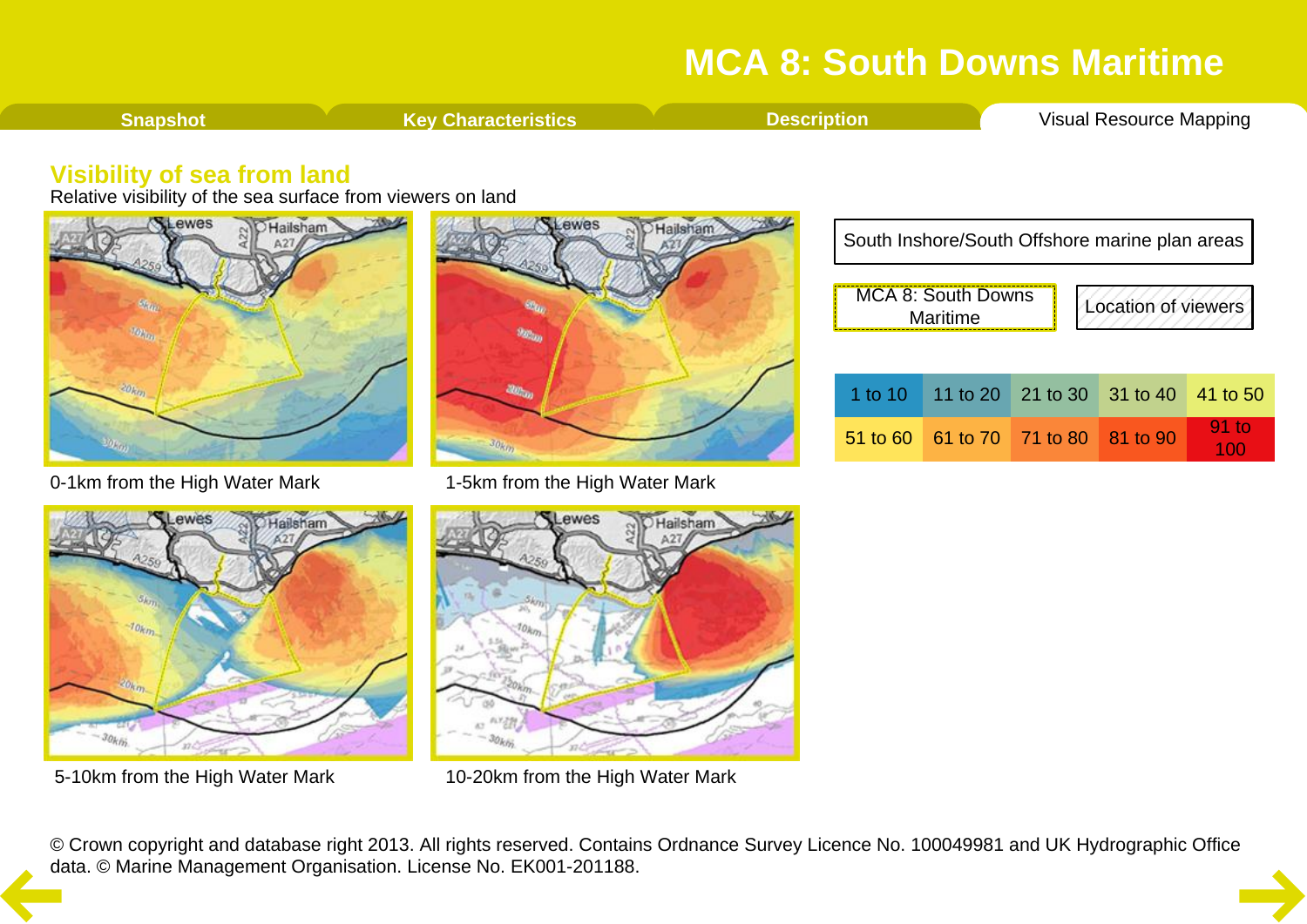<span id="page-9-0"></span>

#### **Visibility of sea from land**

Relative visibility of the sea surface from viewers on land







0-1km from the High Water Mark 1-5km from the High Water Mark



5-10km from the High Water Mark 10-20km from the High Water Mark

| South Inshore/South Offshore marine plan areas        |  |                            |  |          |  |  |
|-------------------------------------------------------|--|----------------------------|--|----------|--|--|
| MCA 8: South Downs<br>Location of viewers<br>Maritime |  |                            |  |          |  |  |
|                                                       |  |                            |  |          |  |  |
| 1 to $1010$                                           |  | 11 to 20 21 to 30 31 to 40 |  | 41 to 50 |  |  |
| $51$ to 60                                            |  | 61 to 70 71 to 80 81 to 90 |  | $91$ to  |  |  |

|  | 1 to 10 11 to 20 21 to 30 31 to 40 41 to 50 |                |
|--|---------------------------------------------|----------------|
|  | 51 to 60 61 to 70 71 to 80 81 to 90         | $91$ to<br>100 |

© Crown copyright and database right 2013. All rights reserved. Contains Ordnance Survey Licence No. 100049981 and UK Hydrographic Office [da](#page-8-0)ta. © Marine Management Organisation. License No. EK001-201188.